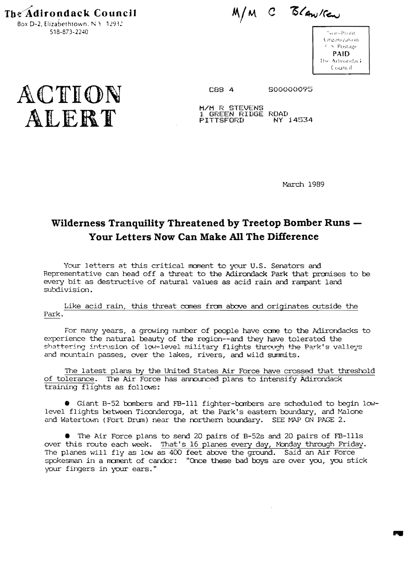**The Adirondack Council** Box D-2, Elizabethtown, N  $\rightarrow$  12932 518-873-2240

M/M C BLANKEN

 $\sim$  is the extended of the extended of the extended of the extended of the extended of the extended of the extended of the extended of the extended of the extended of the extended of the extended of the extended of the e Organization  $I \times$  Postage. **PAID** The Adirondack Council:



M/M R STEVENS<br>1 GREEN RIDGE ROAD<br>FITTSFORD NY : ALERT **FITTSFORD** NY 14534

March 1989

# **Wilderness Tranquility Threatened by Treetop Bomber Runs Your Letters Now Can Make All The Difference**

Your 1etters at this critical moment to your U.S. Senators and Representative can head off a threat to the Adirondack Park that premises to be every bit as destructive of natural values as acid rain and rampant land subdivision.

Like acid rain, this threat comes from above and originates outside the Park.

For many years, a growing number of people have come to the Adirondacks to experience the natural beauty of the region--and they have tolerated the shattering intrusion of low-level military flights through the Park's valleys and mountain passes, over the lakes, rivers, and wild summits.

The latest plans by the United States Air Force have crossed that threshold of tolerance. The Air Force has announced plans to intensify Adirondack training flights as follows:

• Giant 8-52 bombers and FE-Ill fighter-bombers are scheduled to begin lowlevel flights between Ticonderoga, at the Park's eastern boundary, and Malone and Watertown (Fort Drum) near the northern boundary. SEE MAP ON PAGE  $2$ .

• The Air Force plans to send 20 pairs of B-52s and 20 pairs of FE-Ills over this route each week. That's 16 planes every day, Monday through Friday. The planes will fly as low as 400 feet above the ground. Said an Air Force spokesman in a moment of candor: "Once these bad boys are over you, you stick your fingers in your ears."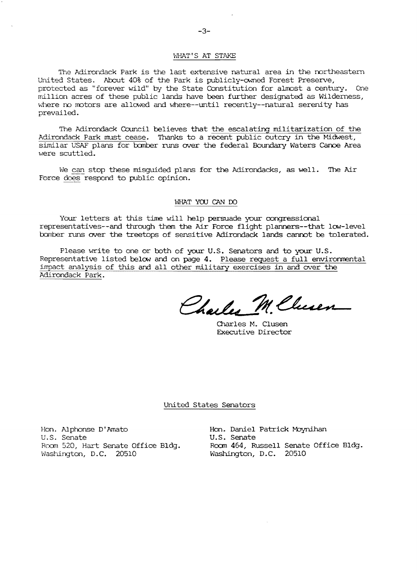### WHAT'S AT STAKE

The Adirondack Park is the last extensive natural area in the northeastern United States. About 40% of the Park is publicly-owned Forest Preserve, protected as "forever wild" by the State Constitution for almost a century. One million acres of these public lands have been further designated as Wilderness, where no motors are allowed and where--until recently--natural serenity has prevailed.

The Adirondack Council believes that the escalating militarization of the Adirondack Park must cease. Thanks to a recent public outcry in the Midwest, similar USAF plans for bomber runs over the federal Boundary Waters Canoe Area were scuttled.

We can stop these misguided plans for the Adirondacks, as well. The Air Force does respond to public opinion.

### WHAT YOU CAN DO

Your letters at this time will help persuade your oongressional representatives--and through them the Air Force flight planners--that low-level tomber runs over the treetops of sensitive Adirondack lands cannot be tolerated.

Please write to one or both of your U.S. Senators and to your U.S. Representative listed below and on page 4. Please request a full environmental impact analysis of this and all other military exercises in and over the Adirondack Park.

Charles M. Chusen

Olarles M. Clusen Executive Director

#### United States Senators

Hon. Alphonse Dt Amato Hon. Daniel Patrick M:lyn.ihan U.S. Senate U.S. Senate<br>Room 520, Hart Senate Office Bldg. Room 464, Ru

Room 520, Hart Senate Office Bldg. Room 464, Russell Senate Office Bldg.<br>Washington, D.C. 20510 Washington, D.C. 20510 Washington, D.C. 20510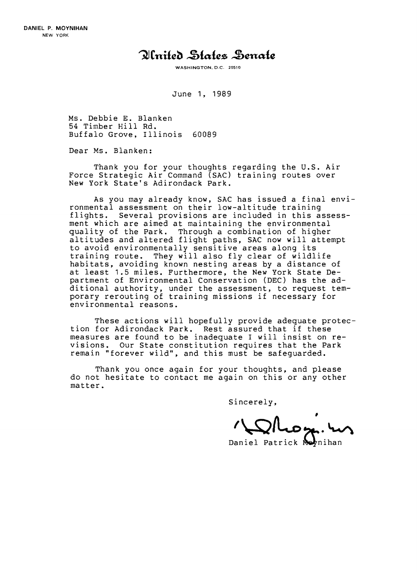## Olnited States Senate

WASHINGTON, D.C. 20510

June 1, 1989

Ms. Debbie E. Blanken 54 Timber Hill Rd. Buffalo Grove, Illinois 60089

Dear Ms. Blanken:

Thank you for your thoughts regarding the U.S. Air Force Strategic Air Command (SAC) training routes over New York State's Adirondack Park.

As you may already know, SAC has issued a final environmental assessment on their low-altitude training flights. Several provisions are included in this assessment which are aimed at maintaining the environmental quality of the Park. Through a combination of higher altitudes and altered flight paths, SAC now will attempt to avoid environmentally sensitive areas along its training route. They will also fly clear of wildlife habitats, avoiding known nesting areas by a distance of at least 1.5 miles. Furthermore, the New York State Department of Environmental Conservation (DEC) has the additional authority, under the assessment, to request temporary rerouting of training missions if necessary for environmental reasons.

These actions will hopefully provide adequate protection for Adirondack Park. Rest assured that if these measures are found to be inadequate I will insist on revisions. Our State constitution requires that the Park remain "forever wild", and this must be safeguarded.

Thank you once again for your thoughts, and please do not hesitate to contact me again on this or any other matter.

Sincerely,

 $\sum$ luoz. m

Daniel Patrick Neynihan